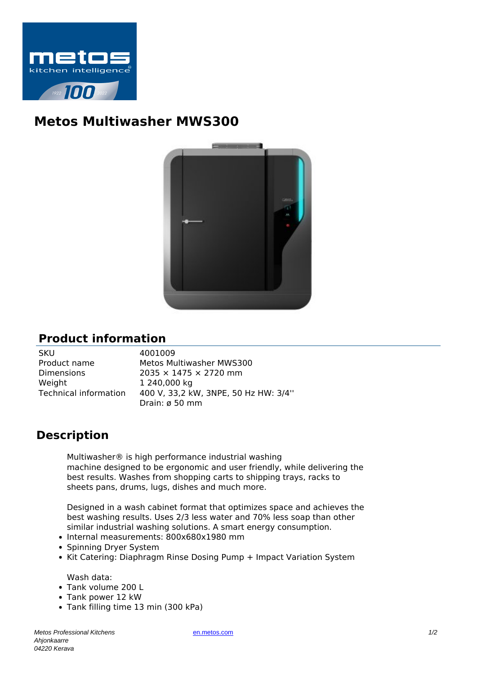

## **Metos Multiwasher MWS300**



## **Product information**

| SKU                          |
|------------------------------|
| Product name                 |
| Dimensions                   |
| Weight                       |
| <b>Technical information</b> |
|                              |

4001009 Metos Multiwasher MWS300  $2035 \times 1475 \times 2720$  mm 1 240,000 kg Technical information 400 V, 33,2 kW, 3NPE, 50 Hz HW: 3/4'' Drain: ø 50 mm

## **Description**

Multiwasher® is high performance industrial washing machine designed to be ergonomic and user friendly, while delivering the best results. Washes from shopping carts to shipping trays, racks to sheets pans, drums, lugs, dishes and much more.

Designed in a wash cabinet format that optimizes space and achieves the best washing results. Uses 2/3 less water and 70% less soap than other similar industrial washing solutions. A smart energy consumption.

- Internal measurements: 800x680x1980 mm
- Spinning Dryer System
- Kit Catering: Diaphragm Rinse Dosing Pump + Impact Variation System

Wash data:

- Tank volume 200 L
- Tank power 12 kW
- Tank filling time 13 min (300 kPa)